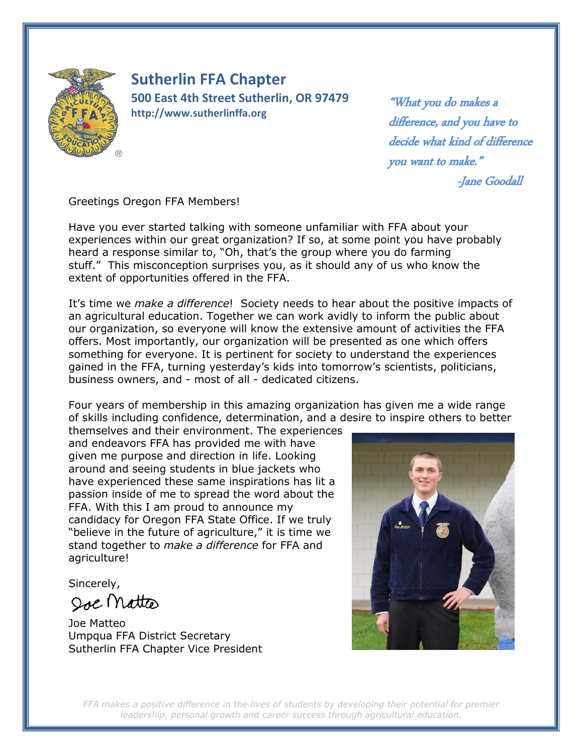

**Sutherlin FFA Chapter 500 East 4th Street Sutherlin, OR 97479 http://www.sutherlinffa.org**

"What you do makes a difference, and you have to decide what kind of difference you want to make."

-Jane Goodall

Greetings Oregon FFA Members!

Have you ever started talking with someone unfamiliar with FFA about your experiences within our great organization? If so, at some point you have probably heard a response similar to, "Oh, that's the group where you do farming stuff." This misconception surprises you, as it should any of us who know the extent of opportunities offered in the FFA.

It's time we *make a difference*! Society needs to hear about the positive impacts of an agricultural education. Together we can work avidly to inform the public about our organization, so everyone will know the extensive amount of activities the FFA offers. Most importantly, our organization will be presented as one which offers something for everyone. It is pertinent for society to understand the experiences gained in the FFA, turning yesterday's kids into tomorrow's scientists, politicians, business owners, and - most of all - dedicated citizens.

Four years of membership in this amazing organization has given me a wide range of skills including confidence, determination, and a desire to inspire others to better

themselves and their environment. The experiences and endeavors FFA has provided me with have given me purpose and direction in life. Looking around and seeing students in blue jackets who have experienced these same inspirations has lit a passion inside of me to spread the word about the FFA. With this I am proud to announce my candidacy for Oregon FFA State Office. If we truly "believe in the future of agriculture," it is time we stand together to *make a difference* for FFA and agriculture!

Sincerely,

Soe Mattes

Joe Matteo Umpqua FFA District Secretary Sutherlin FFA Chapter Vice President



*FFA makes a positive difference in the lives of students by developing their potential for premier leadership, personal growth and career success through agricultural education.*